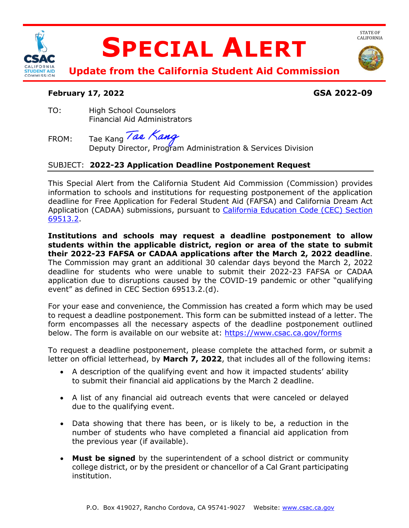

# **SPECIAL ALERT**



STATE OF<br>CALIFORNIA

**Update from the California Student Aid Commission** 

# **February 17, 2022 GSA 2022-09**

TO: High School Counselors Financial Aid Administrators

Tae Kang Tae Kang FROM: Tae Kang *Part Nang*<br>Deputy Director, Program Administration & Services Division

# SUBJECT: **2022-23 Application Deadline Postponement Request**

 This Special Alert from the California Student Aid Commission (Commission) provides deadline for Free Application for Federal Student Aid (FAFSA) and California Dream Act Application (CADAA) submissions, pursuant to *California Education Code (CEC) Section* information to schools and institutions for requesting postponement of the application [69513.2.](https://leginfo.legislature.ca.gov/faces/codes_displaySection.xhtml?lawCode=EDC§ionNum=69513.2.)

 **Institutions and schools may request a deadline postponement to allow students within the applicable district, region or area of the state to submit their 2022-23 FAFSA or CADAA applications after the March 2, 2022 deadline**. The Commission may grant an additional 30 calendar days beyond the March 2, 2022 deadline for students who were unable to submit their 2022-23 FAFSA or CADAA application due to disruptions caused by the COVID-19 pandemic or other "qualifying event" as defined in CEC Section 69513.2.(d).

 to request a deadline postponement. This form can be submitted instead of a letter. The form encompasses all the necessary aspects of the deadline postponement outlined For your ease and convenience, the Commission has created a form which may be used below. The form is available on our website at: https://www.csac.ca.gov/forms

To request a deadline postponement, please complete the attached form, or submit a letter on official letterhead, by **March 7, 2022**, that includes all of the following items:

- • A description of the qualifying event and how it impacted students' ability to submit their financial aid applications by the March 2 deadline.
- • A list of any financial aid outreach events that were canceled or delayed due to the qualifying event.
- number of students who have completed a financial aid application from • Data showing that there has been, or is likely to be, a reduction in the the previous year (if available).
- college district, or by the president or chancellor of a Cal Grant participating • **Must be signed** by the superintendent of a school district or community institution.